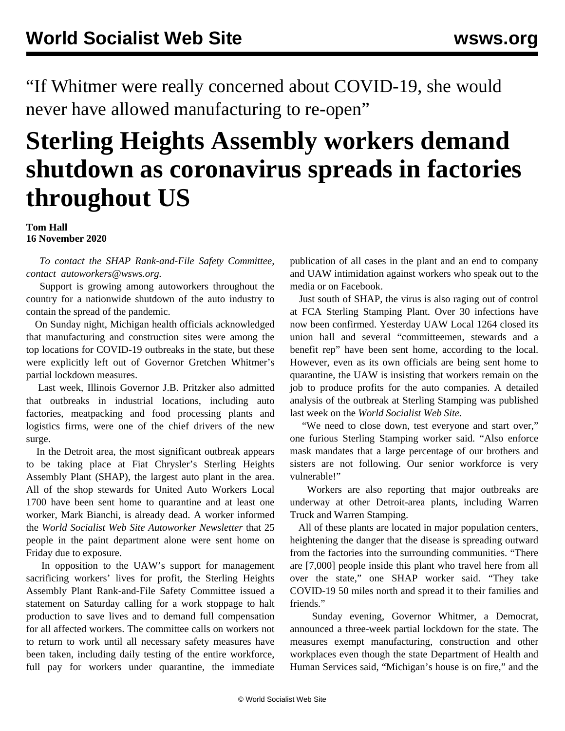"If Whitmer were really concerned about COVID-19, she would never have allowed manufacturing to re-open"

## **Sterling Heights Assembly workers demand shutdown as coronavirus spreads in factories throughout US**

## **Tom Hall 16 November 2020**

 *To contact the SHAP Rank-and-File Safety Committee, contact [autoworkers@wsws.org.](mailto:autoworkers@wsws.org)*

 Support is growing among autoworkers throughout the country for a nationwide shutdown of the auto industry to contain the spread of the pandemic.

 On Sunday night, Michigan health officials acknowledged that manufacturing and construction sites were among the top locations for COVID-19 outbreaks in the state, but these were explicitly left out of Governor Gretchen Whitmer's partial lockdown measures.

 Last week, Illinois Governor J.B. Pritzker also admitted that outbreaks in industrial locations, including auto factories, meatpacking and food processing plants and logistics firms, were one of the chief drivers of the new surge.

 In the Detroit area, the most significant outbreak appears to be taking place at Fiat Chrysler's Sterling Heights Assembly Plant (SHAP), the largest auto plant in the area. All of the shop stewards for United Auto Workers Local 1700 have been sent home to quarantine and at least one worker, Mark Bianchi, is already dead. A worker informed the *World Socialist Web Site Autoworker Newsletter* that 25 people in the paint department alone were sent home on Friday due to exposure.

 In opposition to the UAW's support for management sacrificing workers' lives for profit, the Sterling Heights Assembly Plant Rank-and-File Safety Committee [issued a](/en/articles/2020/11/14/shap-n14.html) [statement](/en/articles/2020/11/14/shap-n14.html) on Saturday calling for a work stoppage to halt production to save lives and to demand full compensation for all affected workers. The committee calls on workers not to return to work until all necessary safety measures have been taken, including daily testing of the entire workforce, full pay for workers under quarantine, the immediate

publication of all cases in the plant and an end to company and UAW intimidation against workers who speak out to the media or on Facebook.

 Just south of SHAP, the virus is also raging out of control at FCA Sterling Stamping Plant. Over 30 infections have now been confirmed. Yesterday UAW Local 1264 closed its union hall and several "committeemen, stewards and a benefit rep" have been sent home, according to the local. However, even as its own officials are being sent home to quarantine, the UAW is insisting that workers remain on the job to produce profits for the auto companies. A detailed [analysis](/en/articles/2020/11/11/stam-n11.html) of the outbreak at Sterling Stamping was published last week on the *World Socialist Web Site.*

 "We need to close down, test everyone and start over," one furious Sterling Stamping worker said. "Also enforce mask mandates that a large percentage of our brothers and sisters are not following. Our senior workforce is very vulnerable!"

 Workers are also reporting that major outbreaks are underway at other Detroit-area plants, including Warren Truck and Warren Stamping.

 All of these plants are located in major population centers, heightening the danger that the disease is spreading outward from the factories into the surrounding communities. "There are [7,000] people inside this plant who travel here from all over the state," one SHAP worker said. "They take COVID-19 50 miles north and spread it to their families and friends."

 Sunday evening, Governor Whitmer, a Democrat, announced a three-week partial lockdown for the state. The measures exempt manufacturing, construction and other workplaces even though the state Department of Health and Human Services said, "Michigan's house is on fire," and the